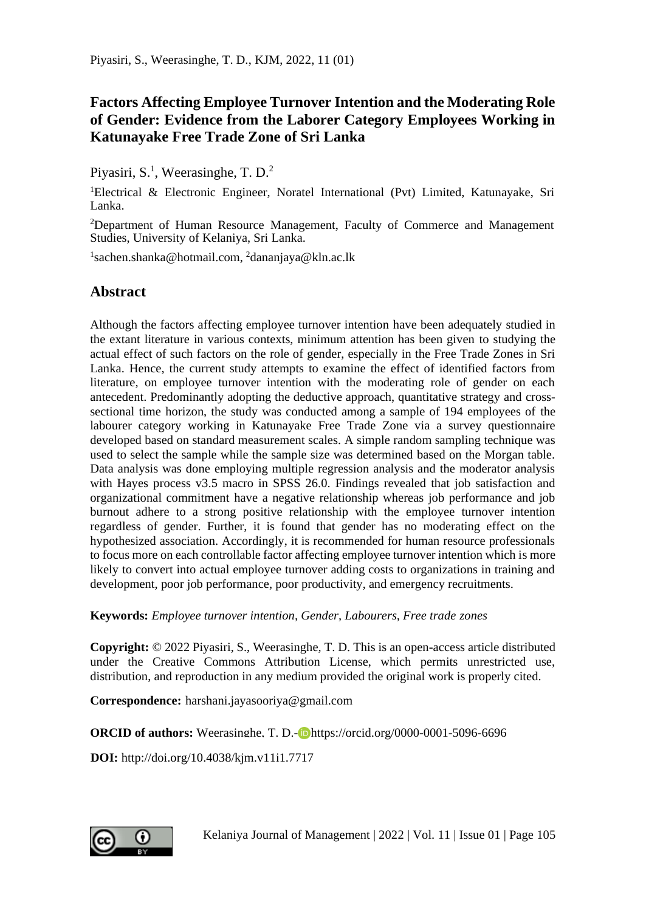## **Factors Affecting Employee Turnover Intention and the Moderating Role of Gender: Evidence from the Laborer Category Employees Working in Katunayake Free Trade Zone of Sri Lanka**

Piyasiri, S.<sup>1</sup>, Weerasinghe, T. D.<sup>2</sup>

<sup>1</sup>Electrical & Electronic Engineer, Noratel International (Pvt) Limited, Katunayake, Sri Lanka.

<sup>2</sup>Department of Human Resource Management, Faculty of Commerce and Management Studies, University of Kelaniya, Sri Lanka.

<sup>1</sup>sachen.shanka@hotmail.com, <sup>2</sup>dananjaya@kln.ac.lk

## **Abstract**

Although the factors affecting employee turnover intention have been adequately studied in the extant literature in various contexts, minimum attention has been given to studying the actual effect of such factors on the role of gender, especially in the Free Trade Zones in Sri Lanka. Hence, the current study attempts to examine the effect of identified factors from literature, on employee turnover intention with the moderating role of gender on each antecedent. Predominantly adopting the deductive approach, quantitative strategy and crosssectional time horizon, the study was conducted among a sample of 194 employees of the labourer category working in Katunayake Free Trade Zone via a survey questionnaire developed based on standard measurement scales. A simple random sampling technique was used to select the sample while the sample size was determined based on the Morgan table. Data analysis was done employing multiple regression analysis and the moderator analysis with Hayes process v3.5 macro in SPSS 26.0. Findings revealed that job satisfaction and organizational commitment have a negative relationship whereas job performance and job burnout adhere to a strong positive relationship with the employee turnover intention regardless of gender. Further, it is found that gender has no moderating effect on the hypothesized association. Accordingly, it is recommended for human resource professionals to focus more on each controllable factor affecting employee turnover intention which is more likely to convert into actual employee turnover adding costs to organizations in training and development, poor job performance, poor productivity, and emergency recruitments.

**Keywords:** *Employee turnover intention, Gender, Labourers, Free trade zones* 

**Copyright:** © 2022 Piyasiri, S., Weerasinghe, T. D. This is an open-access article distributed under the Creative Commons Attribution License, which permits unrestricted use, distribution, and reproduction in any medium provided the original work is properly cited.

**Correspondence:** harshani.jayasooriya@gmail.com

**ORCID of authors:** Weerasinghe, T. D.-**D**https://orcid.org/0000-0001-5096-6696

**DOI:** http://doi.org/10.4038/kjm.v11i1.7717

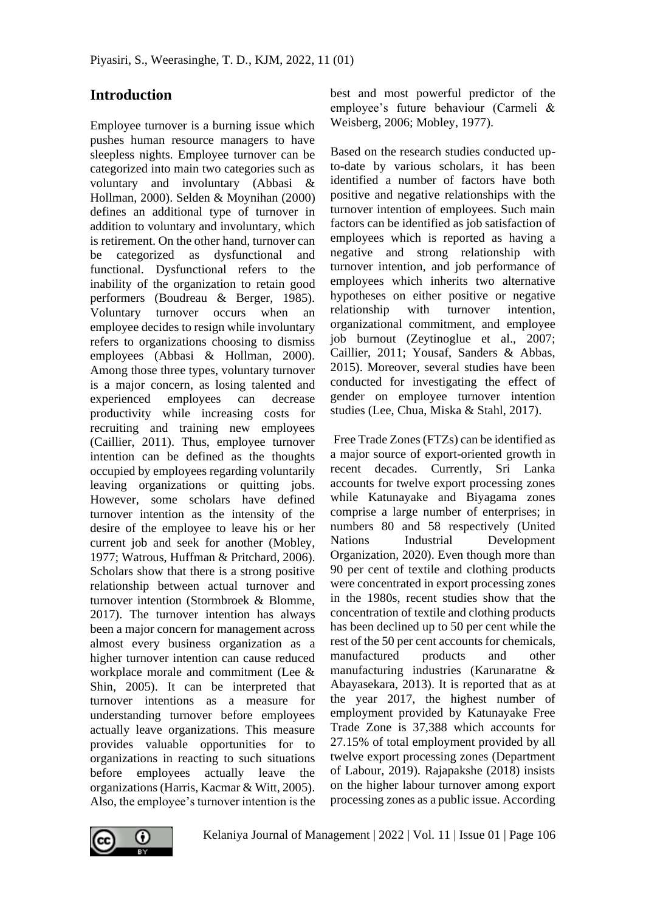## **Introduction**

Employee turnover is a burning issue which pushes human resource managers to have sleepless nights. Employee turnover can be categorized into main two categories such as voluntary and involuntary (Abbasi & Hollman, 2000). Selden & Moynihan (2000) defines an additional type of turnover in addition to voluntary and involuntary, which is retirement. On the other hand, turnover can be categorized as dysfunctional and functional. Dysfunctional refers to the inability of the organization to retain good performers (Boudreau & Berger, 1985). Voluntary turnover occurs when an employee decides to resign while involuntary refers to organizations choosing to dismiss employees (Abbasi & Hollman, 2000). Among those three types, voluntary turnover is a major concern, as losing talented and experienced employees can decrease productivity while increasing costs for recruiting and training new employees (Caillier, 2011). Thus, employee turnover intention can be defined as the thoughts occupied by employees regarding voluntarily leaving organizations or quitting jobs. However, some scholars have defined turnover intention as the intensity of the desire of the employee to leave his or her current job and seek for another (Mobley, 1977; Watrous, Huffman & Pritchard, 2006). Scholars show that there is a strong positive relationship between actual turnover and turnover intention (Stormbroek & Blomme, 2017). The turnover intention has always been a major concern for management across almost every business organization as a higher turnover intention can cause reduced workplace morale and commitment (Lee & Shin, 2005). It can be interpreted that turnover intentions as a measure for understanding turnover before employees actually leave organizations. This measure provides valuable opportunities for to organizations in reacting to such situations before employees actually leave the organizations (Harris, Kacmar & Witt, 2005). Also, the employee's turnover intention is the

best and most powerful predictor of the employee's future behaviour (Carmeli & Weisberg, 2006; Mobley, 1977).

Based on the research studies conducted upto-date by various scholars, it has been identified a number of factors have both positive and negative relationships with the turnover intention of employees. Such main factors can be identified as job satisfaction of employees which is reported as having a negative and strong relationship with turnover intention, and job performance of employees which inherits two alternative hypotheses on either positive or negative relationship with turnover intention, organizational commitment, and employee job burnout (Zeytinoglue et al., 2007; Caillier, 2011; Yousaf, Sanders & Abbas, 2015). Moreover, several studies have been conducted for investigating the effect of gender on employee turnover intention studies (Lee, Chua, Miska & Stahl, 2017).

Free Trade Zones (FTZs) can be identified as a major source of export-oriented growth in recent decades. Currently, Sri Lanka accounts for twelve export processing zones while Katunayake and Biyagama zones comprise a large number of enterprises; in numbers 80 and 58 respectively (United Nations Industrial Development Organization, 2020). Even though more than 90 per cent of textile and clothing products were concentrated in export processing zones in the 1980s, recent studies show that the concentration of textile and clothing products has been declined up to 50 per cent while the rest of the 50 per cent accounts for chemicals, manufactured products and other manufacturing industries (Karunaratne & Abayasekara, 2013). It is reported that as at the year 2017, the highest number of employment provided by Katunayake Free Trade Zone is 37,388 which accounts for 27.15% of total employment provided by all twelve export processing zones (Department of Labour, 2019). Rajapakshe (2018) insists on the higher labour turnover among export processing zones as a public issue. According

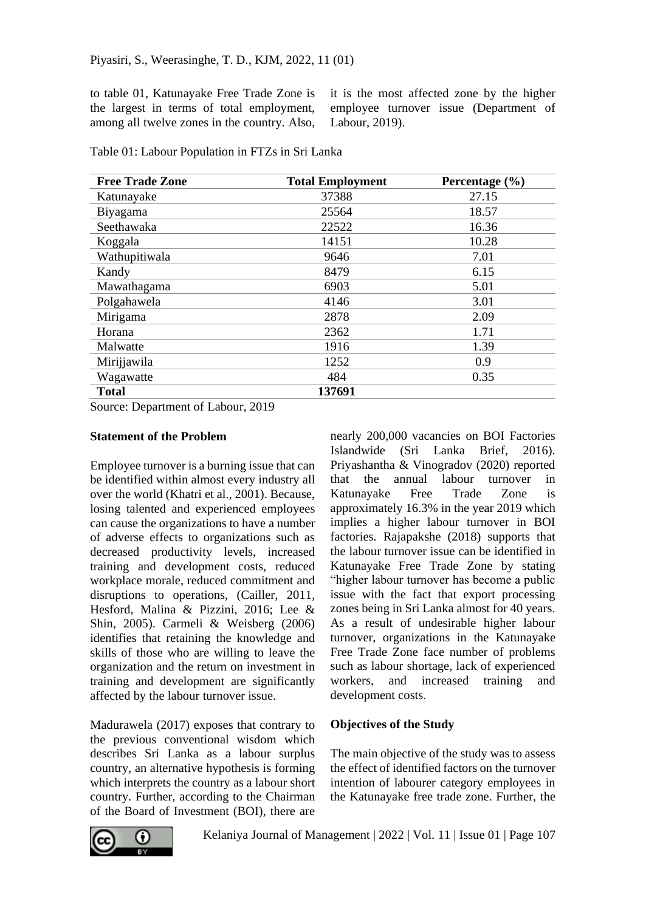to table 01, Katunayake Free Trade Zone is the largest in terms of total employment, among all twelve zones in the country. Also,

it is the most affected zone by the higher employee turnover issue (Department of Labour, 2019).

| <b>Free Trade Zone</b> | <b>Total Employment</b> | Percentage (%) |
|------------------------|-------------------------|----------------|
| Katunayake             | 37388                   | 27.15          |
| Biyagama               | 25564                   | 18.57          |
| Seethawaka             | 22522                   | 16.36          |
| Koggala                | 14151                   | 10.28          |
| Wathupitiwala          | 9646                    | 7.01           |
| Kandy                  | 8479                    | 6.15           |
| Mawathagama            | 6903                    | 5.01           |
| Polgahawela            | 4146                    | 3.01           |
| Mirigama               | 2878                    | 2.09           |
| Horana                 | 2362                    | 1.71           |
| Malwatte               | 1916                    | 1.39           |
| Mirijjawila            | 1252                    | 0.9            |
| Wagawatte              | 484                     | 0.35           |
| <b>Total</b>           | 137691                  |                |

Table 01: Labour Population in FTZs in Sri Lanka

Source: Department of Labour, 2019

#### **Statement of the Problem**

Employee turnover is a burning issue that can be identified within almost every industry all over the world (Khatri et al., 2001). Because, losing talented and experienced employees can cause the organizations to have a number of adverse effects to organizations such as decreased productivity levels, increased training and development costs, reduced workplace morale, reduced commitment and disruptions to operations, (Cailler, 2011, Hesford, Malina & Pizzini, 2016; Lee & Shin, 2005). Carmeli & Weisberg (2006) identifies that retaining the knowledge and skills of those who are willing to leave the organization and the return on investment in training and development are significantly affected by the labour turnover issue.

Madurawela (2017) exposes that contrary to the previous conventional wisdom which describes Sri Lanka as a labour surplus country, an alternative hypothesis is forming which interprets the country as a labour short country. Further, according to the Chairman of the Board of Investment (BOI), there are

nearly 200,000 vacancies on BOI Factories Islandwide (Sri Lanka Brief, 2016). Priyashantha & Vinogradov (2020) reported that the annual labour turnover in Katunayake Free Trade Zone is approximately 16.3% in the year 2019 which implies a higher labour turnover in BOI factories. Rajapakshe (2018) supports that the labour turnover issue can be identified in Katunayake Free Trade Zone by stating "higher labour turnover has become a public issue with the fact that export processing zones being in Sri Lanka almost for 40 years. As a result of undesirable higher labour turnover, organizations in the Katunayake Free Trade Zone face number of problems such as labour shortage, lack of experienced workers, and increased training and development costs.

#### **Objectives of the Study**

The main objective of the study was to assess the effect of identified factors on the turnover intention of labourer category employees in the Katunayake free trade zone. Further, the

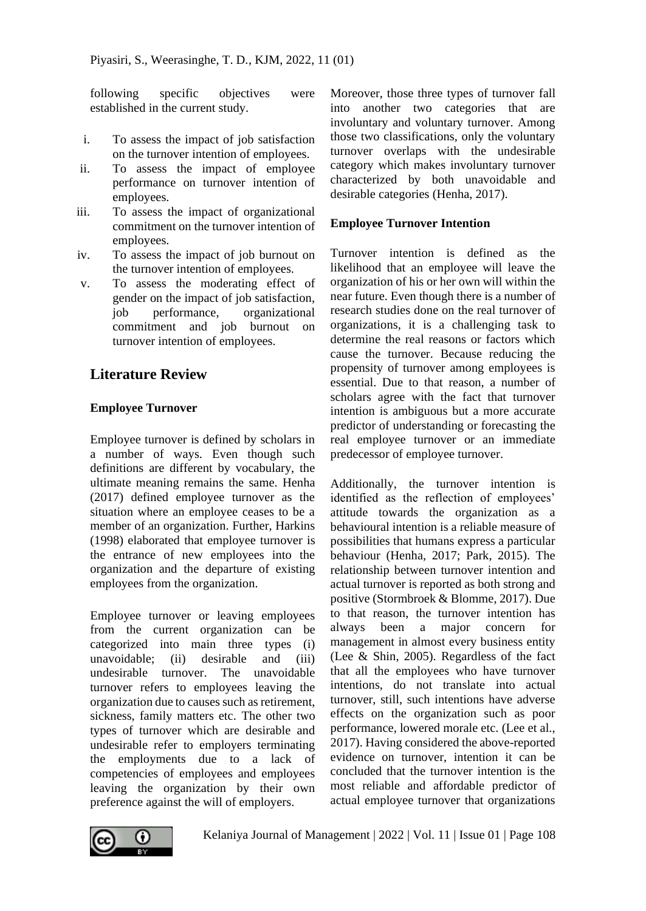following specific objectives were established in the current study.

- i. To assess the impact of job satisfaction on the turnover intention of employees.
- ii. To assess the impact of employee performance on turnover intention of employees.
- iii. To assess the impact of organizational commitment on the turnover intention of employees.
- iv. To assess the impact of job burnout on the turnover intention of employees.
- v. To assess the moderating effect of gender on the impact of job satisfaction, job performance, organizational commitment and job burnout on turnover intention of employees.

## **Literature Review**

## **Employee Turnover**

Employee turnover is defined by scholars in a number of ways. Even though such definitions are different by vocabulary, the ultimate meaning remains the same. Henha (2017) defined employee turnover as the situation where an employee ceases to be a member of an organization. Further, Harkins (1998) elaborated that employee turnover is the entrance of new employees into the organization and the departure of existing employees from the organization.

Employee turnover or leaving employees from the current organization can be categorized into main three types (i) unavoidable; (ii) desirable and (iii) undesirable turnover. The unavoidable turnover refers to employees leaving the organization due to causes such as retirement, sickness, family matters etc. The other two types of turnover which are desirable and undesirable refer to employers terminating the employments due to a lack of competencies of employees and employees leaving the organization by their own preference against the will of employers.

Moreover, those three types of turnover fall into another two categories that are involuntary and voluntary turnover. Among those two classifications, only the voluntary turnover overlaps with the undesirable category which makes involuntary turnover characterized by both unavoidable and desirable categories (Henha, 2017).

### **Employee Turnover Intention**

Turnover intention is defined as the likelihood that an employee will leave the organization of his or her own will within the near future. Even though there is a number of research studies done on the real turnover of organizations, it is a challenging task to determine the real reasons or factors which cause the turnover. Because reducing the propensity of turnover among employees is essential. Due to that reason, a number of scholars agree with the fact that turnover intention is ambiguous but a more accurate predictor of understanding or forecasting the real employee turnover or an immediate predecessor of employee turnover.

Additionally, the turnover intention is identified as the reflection of employees' attitude towards the organization as a behavioural intention is a reliable measure of possibilities that humans express a particular behaviour (Henha, 2017; Park, 2015). The relationship between turnover intention and actual turnover is reported as both strong and positive (Stormbroek & Blomme, 2017). Due to that reason, the turnover intention has always been a major concern for management in almost every business entity (Lee & Shin, 2005). Regardless of the fact that all the employees who have turnover intentions, do not translate into actual turnover, still, such intentions have adverse effects on the organization such as poor performance, lowered morale etc. (Lee et al., 2017). Having considered the above-reported evidence on turnover, intention it can be concluded that the turnover intention is the most reliable and affordable predictor of actual employee turnover that organizations

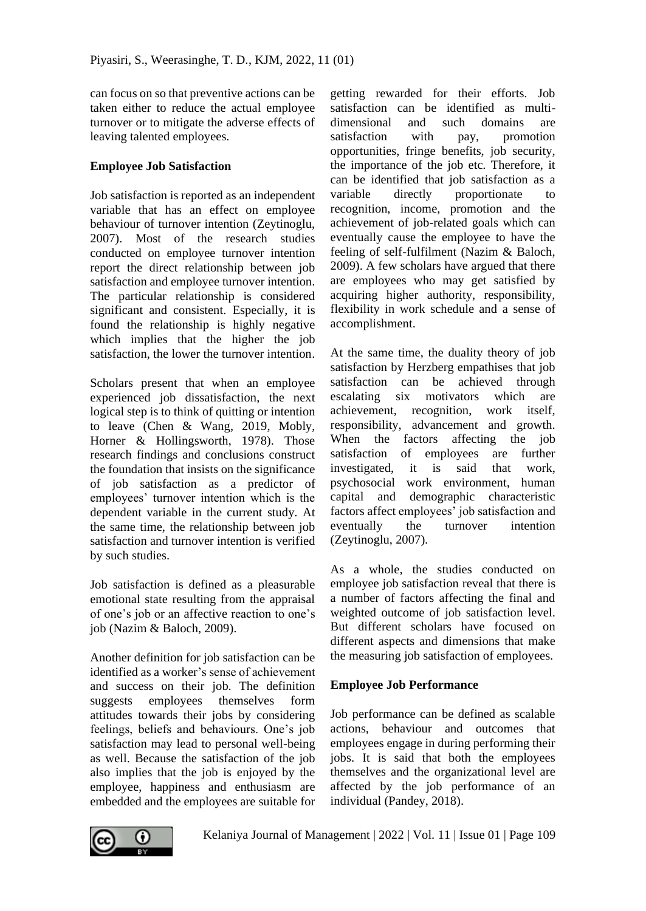can focus on so that preventive actions can be taken either to reduce the actual employee turnover or to mitigate the adverse effects of leaving talented employees.

## **Employee Job Satisfaction**

Job satisfaction is reported as an independent variable that has an effect on employee behaviour of turnover intention (Zeytinoglu, 2007). Most of the research studies conducted on employee turnover intention report the direct relationship between job satisfaction and employee turnover intention. The particular relationship is considered significant and consistent. Especially, it is found the relationship is highly negative which implies that the higher the job satisfaction, the lower the turnover intention.

Scholars present that when an employee experienced job dissatisfaction, the next logical step is to think of quitting or intention to leave (Chen & Wang, 2019, Mobly, Horner & Hollingsworth, 1978). Those research findings and conclusions construct the foundation that insists on the significance of job satisfaction as a predictor of employees' turnover intention which is the dependent variable in the current study. At the same time, the relationship between job satisfaction and turnover intention is verified by such studies.

Job satisfaction is defined as a pleasurable emotional state resulting from the appraisal of one's job or an affective reaction to one's job (Nazim & Baloch, 2009).

Another definition for job satisfaction can be identified as a worker's sense of achievement and success on their job. The definition suggests employees themselves form attitudes towards their jobs by considering feelings, beliefs and behaviours. One's job satisfaction may lead to personal well-being as well. Because the satisfaction of the job also implies that the job is enjoyed by the employee, happiness and enthusiasm are embedded and the employees are suitable for

getting rewarded for their efforts. Job satisfaction can be identified as multidimensional and such domains are satisfaction with pay, promotion opportunities, fringe benefits, job security, the importance of the job etc. Therefore, it can be identified that job satisfaction as a variable directly proportionate to recognition, income, promotion and the achievement of job-related goals which can eventually cause the employee to have the feeling of self-fulfilment (Nazim & Baloch, 2009). A few scholars have argued that there are employees who may get satisfied by acquiring higher authority, responsibility, flexibility in work schedule and a sense of accomplishment.

At the same time, the duality theory of job satisfaction by Herzberg empathises that job satisfaction can be achieved through escalating six motivators which are achievement, recognition, work itself, responsibility, advancement and growth. When the factors affecting the job satisfaction of employees are further investigated, it is said that work, psychosocial work environment, human capital and demographic characteristic factors affect employees' job satisfaction and eventually the turnover intention (Zeytinoglu, 2007).

As a whole, the studies conducted on employee job satisfaction reveal that there is a number of factors affecting the final and weighted outcome of job satisfaction level. But different scholars have focused on different aspects and dimensions that make the measuring job satisfaction of employees.

## **Employee Job Performance**

Job performance can be defined as scalable actions, behaviour and outcomes that employees engage in during performing their jobs. It is said that both the employees themselves and the organizational level are affected by the job performance of an individual (Pandey, 2018).

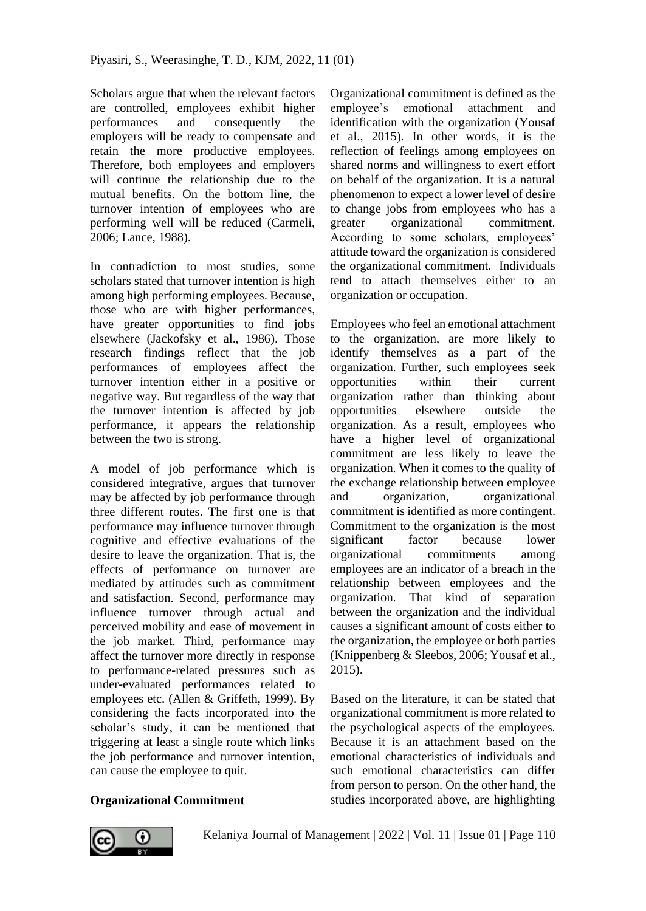Scholars argue that when the relevant factors are controlled, employees exhibit higher performances and consequently the employers will be ready to compensate and retain the more productive employees. Therefore, both employees and employers will continue the relationship due to the mutual benefits. On the bottom line, the turnover intention of employees who are performing well will be reduced (Carmeli, 2006; Lance, 1988).

In contradiction to most studies, some scholars stated that turnover intention is high among high performing employees. Because, those who are with higher performances, have greater opportunities to find jobs elsewhere (Jackofsky et al., 1986). Those research findings reflect that the job performances of employees affect the turnover intention either in a positive or negative way. But regardless of the way that the turnover intention is affected by job performance, it appears the relationship between the two is strong.

A model of job performance which is considered integrative, argues that turnover may be affected by job performance through three different routes. The first one is that performance may influence turnover through cognitive and effective evaluations of the desire to leave the organization. That is, the effects of performance on turnover are mediated by attitudes such as commitment and satisfaction. Second, performance may influence turnover through actual and perceived mobility and ease of movement in the job market. Third, performance may affect the turnover more directly in response to performance-related pressures such as under-evaluated performances related to employees etc. (Allen & Griffeth, 1999). By considering the facts incorporated into the scholar's study, it can be mentioned that triggering at least a single route which links the job performance and turnover intention, can cause the employee to quit.

Organizational commitment is defined as the employee's emotional attachment and identification with the organization (Yousaf et al., 2015). In other words, it is the reflection of feelings among employees on shared norms and willingness to exert effort on behalf of the organization. It is a natural phenomenon to expect a lower level of desire to change jobs from employees who has a greater organizational commitment. According to some scholars, employees' attitude toward the organization is considered the organizational commitment. Individuals tend to attach themselves either to an organization or occupation.

Employees who feel an emotional attachment to the organization, are more likely to identify themselves as a part of the organization. Further, such employees seek opportunities within their current organization rather than thinking about opportunities elsewhere outside the organization. As a result, employees who have a higher level of organizational commitment are less likely to leave the organization. When it comes to the quality of the exchange relationship between employee and organization, organizational commitment is identified as more contingent. Commitment to the organization is the most significant factor because lower organizational commitments among employees are an indicator of a breach in the relationship between employees and the organization. That kind of separation between the organization and the individual causes a significant amount of costs either to the organization, the employee or both parties (Knippenberg & Sleebos, 2006; Yousaf et al., 2015).

Based on the literature, it can be stated that organizational commitment is more related to the psychological aspects of the employees. Because it is an attachment based on the emotional characteristics of individuals and such emotional characteristics can differ from person to person. On the other hand, the studies incorporated above, are highlighting

# **Organizational Commitment**

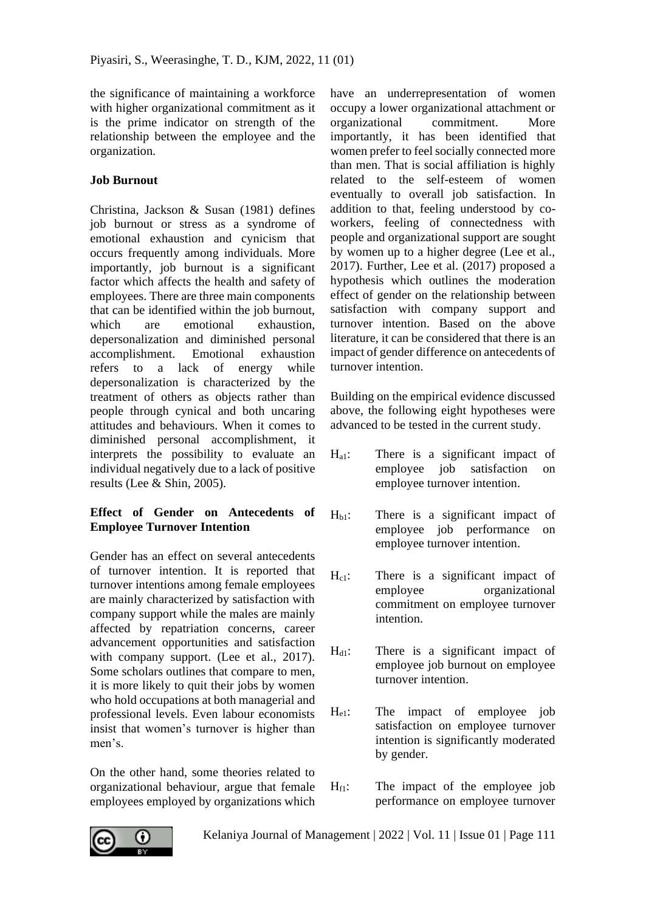the significance of maintaining a workforce with higher organizational commitment as it is the prime indicator on strength of the relationship between the employee and the organization.

## **Job Burnout**

Christina, Jackson & Susan (1981) defines job burnout or stress as a syndrome of emotional exhaustion and cynicism that occurs frequently among individuals. More importantly, job burnout is a significant factor which affects the health and safety of employees. There are three main components that can be identified within the job burnout, which are emotional exhaustion. depersonalization and diminished personal accomplishment. Emotional exhaustion refers to a lack of energy while depersonalization is characterized by the treatment of others as objects rather than people through cynical and both uncaring attitudes and behaviours. When it comes to diminished personal accomplishment, it interprets the possibility to evaluate an individual negatively due to a lack of positive results (Lee & Shin, 2005).

## **Effect of Gender on Antecedents of Employee Turnover Intention**

Gender has an effect on several antecedents of turnover intention. It is reported that turnover intentions among female employees are mainly characterized by satisfaction with company support while the males are mainly affected by repatriation concerns, career advancement opportunities and satisfaction with company support. (Lee et al., 2017). Some scholars outlines that compare to men, it is more likely to quit their jobs by women who hold occupations at both managerial and professional levels. Even labour economists insist that women's turnover is higher than men's.

On the other hand, some theories related to organizational behaviour, argue that female employees employed by organizations which have an underrepresentation of women occupy a lower organizational attachment or organizational commitment. More importantly, it has been identified that women prefer to feel socially connected more than men. That is social affiliation is highly related to the self-esteem of women eventually to overall job satisfaction. In addition to that, feeling understood by coworkers, feeling of connectedness with people and organizational support are sought by women up to a higher degree (Lee et al., 2017). Further, Lee et al. (2017) proposed a hypothesis which outlines the moderation effect of gender on the relationship between satisfaction with company support and turnover intention. Based on the above literature, it can be considered that there is an impact of gender difference on antecedents of turnover intention.

Building on the empirical evidence discussed above, the following eight hypotheses were advanced to be tested in the current study.

- $H_{a1}$ : There is a significant impact of employee job satisfaction on employee turnover intention.
- $H<sub>b1</sub>$ : There is a significant impact of employee job performance on employee turnover intention.
- H<sub>c1</sub>: There is a significant impact of employee organizational commitment on employee turnover intention.
- H<sub>d1</sub>: There is a significant impact of employee job burnout on employee turnover intention.
- He1: The impact of employee job satisfaction on employee turnover intention is significantly moderated by gender.
- $H_{f1}$ : The impact of the employee job performance on employee turnover

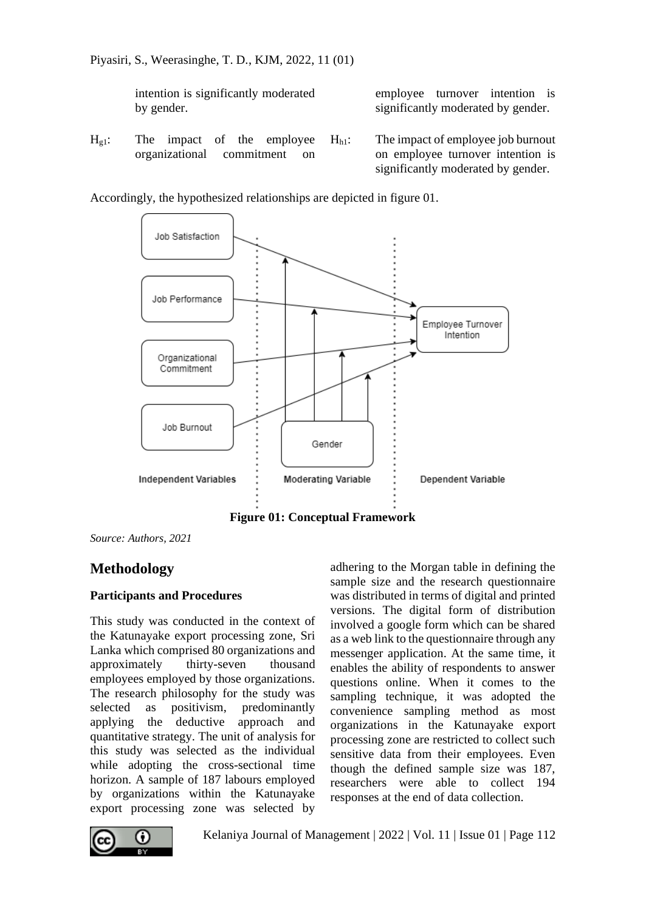intention is significantly moderated by gender.

employee turnover intention is significantly moderated by gender.

 $H_{g1}$ : The impact of the employee organizational commitment on

 $H<sub>h1</sub>$ : The impact of employee job burnout on employee turnover intention is significantly moderated by gender.

Accordingly, the hypothesized relationships are depicted in figure 01.



**Figure 01: Conceptual Framework**

*Source: Authors, 2021*

## **Methodology**

## **Participants and Procedures**

This study was conducted in the context of the Katunayake export processing zone, Sri Lanka which comprised 80 organizations and approximately thirty-seven thousand employees employed by those organizations. The research philosophy for the study was selected as positivism, predominantly applying the deductive approach and quantitative strategy. The unit of analysis for this study was selected as the individual while adopting the cross-sectional time horizon. A sample of 187 labours employed by organizations within the Katunayake export processing zone was selected by

adhering to the Morgan table in defining the sample size and the research questionnaire was distributed in terms of digital and printed versions. The digital form of distribution involved a google form which can be shared as a web link to the questionnaire through any messenger application. At the same time, it enables the ability of respondents to answer questions online. When it comes to the sampling technique, it was adopted the convenience sampling method as most organizations in the Katunayake export processing zone are restricted to collect such sensitive data from their employees. Even though the defined sample size was 187, researchers were able to collect 194 responses at the end of data collection.

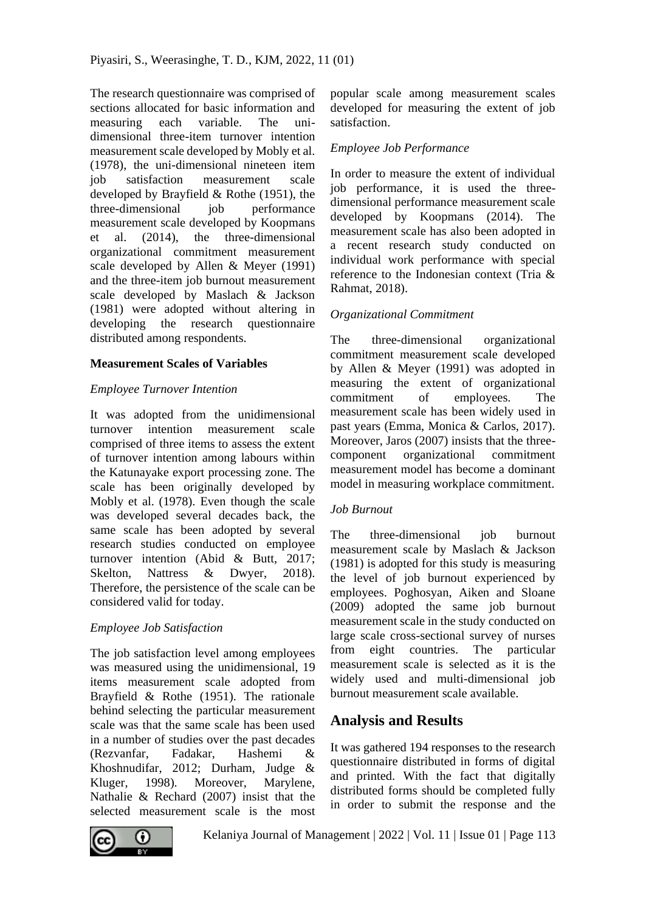The research questionnaire was comprised of sections allocated for basic information and measuring each variable. The unidimensional three-item turnover intention measurement scale developed by Mobly et al. (1978), the uni-dimensional nineteen item job satisfaction measurement scale developed by Brayfield & Rothe (1951), the three-dimensional job performance measurement scale developed by Koopmans et al. (2014), the three-dimensional organizational commitment measurement scale developed by Allen & Meyer (1991) and the three-item job burnout measurement scale developed by Maslach & Jackson (1981) were adopted without altering in developing the research questionnaire distributed among respondents.

## **Measurement Scales of Variables**

## *Employee Turnover Intention*

It was adopted from the unidimensional turnover intention measurement scale comprised of three items to assess the extent of turnover intention among labours within the Katunayake export processing zone. The scale has been originally developed by Mobly et al. (1978). Even though the scale was developed several decades back, the same scale has been adopted by several research studies conducted on employee turnover intention (Abid & Butt, 2017; Skelton, Nattress & Dwyer, 2018). Therefore, the persistence of the scale can be considered valid for today.

## *Employee Job Satisfaction*

The job satisfaction level among employees was measured using the unidimensional, 19 items measurement scale adopted from Brayfield & Rothe (1951). The rationale behind selecting the particular measurement scale was that the same scale has been used in a number of studies over the past decades (Rezvanfar, Fadakar, Hashemi & Khoshnudifar, 2012; Durham, Judge & Kluger, 1998). Moreover, Marylene, Nathalie & Rechard (2007) insist that the selected measurement scale is the most

popular scale among measurement scales developed for measuring the extent of job satisfaction.

## *Employee Job Performance*

In order to measure the extent of individual job performance, it is used the threedimensional performance measurement scale developed by Koopmans (2014). The measurement scale has also been adopted in a recent research study conducted on individual work performance with special reference to the Indonesian context (Tria & Rahmat, 2018).

## *Organizational Commitment*

The three-dimensional organizational commitment measurement scale developed by Allen & Meyer (1991) was adopted in measuring the extent of organizational commitment of employees. The measurement scale has been widely used in past years (Emma, Monica & Carlos, 2017). Moreover, Jaros (2007) insists that the threecomponent organizational commitment measurement model has become a dominant model in measuring workplace commitment.

## *Job Burnout*

The three-dimensional job burnout measurement scale by Maslach & Jackson (1981) is adopted for this study is measuring the level of job burnout experienced by employees. Poghosyan, Aiken and Sloane (2009) adopted the same job burnout measurement scale in the study conducted on large scale cross-sectional survey of nurses from eight countries. The particular measurement scale is selected as it is the widely used and multi-dimensional job burnout measurement scale available.

## **Analysis and Results**

It was gathered 194 responses to the research questionnaire distributed in forms of digital and printed. With the fact that digitally distributed forms should be completed fully in order to submit the response and the

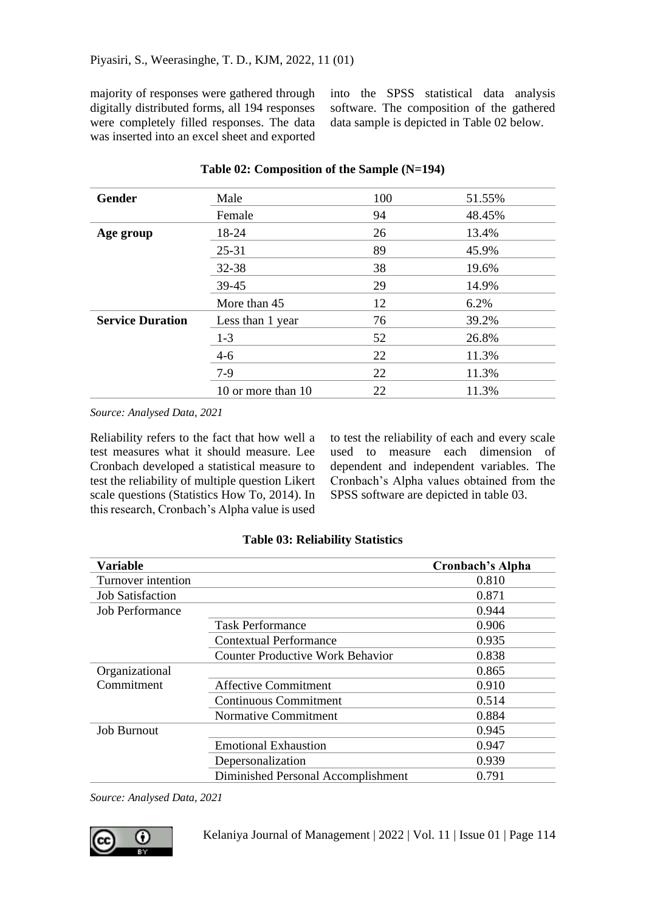majority of responses were gathered through digitally distributed forms, all 194 responses were completely filled responses. The data was inserted into an excel sheet and exported into the SPSS statistical data analysis software. The composition of the gathered data sample is depicted in Table 02 below.

| <b>Gender</b>           | Male               | 100 | 51.55% |
|-------------------------|--------------------|-----|--------|
|                         | Female             | 94  | 48.45% |
| Age group               | 18-24              | 26  | 13.4%  |
|                         | $25 - 31$          | 89  | 45.9%  |
|                         | 32-38              | 38  | 19.6%  |
|                         | 39-45              | 29  | 14.9%  |
|                         | More than 45       | 12  | 6.2%   |
| <b>Service Duration</b> | Less than 1 year   | 76  | 39.2%  |
|                         | $1 - 3$            | 52  | 26.8%  |
|                         | $4-6$              | 22  | 11.3%  |
|                         | 7-9                | 22  | 11.3%  |
|                         | 10 or more than 10 | 22  | 11.3%  |

#### **Table 02: Composition of the Sample (N=194)**

*Source: Analysed Data, 2021*

Reliability refers to the fact that how well a test measures what it should measure. Lee Cronbach developed a statistical measure to test the reliability of multiple question Likert scale questions (Statistics How To, 2014). In this research, Cronbach's Alpha value is used

to test the reliability of each and every scale used to measure each dimension of dependent and independent variables. The Cronbach's Alpha values obtained from the SPSS software are depicted in table 03.

| <b>Variable</b>         |                                         | Cronbach's Alpha |
|-------------------------|-----------------------------------------|------------------|
| Turnover intention      |                                         | 0.810            |
| <b>Job Satisfaction</b> |                                         | 0.871            |
| Job Performance         |                                         | 0.944            |
|                         | <b>Task Performance</b>                 | 0.906            |
|                         | <b>Contextual Performance</b>           | 0.935            |
|                         | <b>Counter Productive Work Behavior</b> | 0.838            |
| Organizational          |                                         | 0.865            |
| Commitment              | <b>Affective Commitment</b>             | 0.910            |
|                         | <b>Continuous Commitment</b>            | 0.514            |
|                         | Normative Commitment                    | 0.884            |
| <b>Job Burnout</b>      |                                         | 0.945            |
|                         | <b>Emotional Exhaustion</b>             | 0.947            |
|                         | Depersonalization                       | 0.939            |
|                         | Diminished Personal Accomplishment      | 0.791            |

#### **Table 03: Reliability Statistics**

*Source: Analysed Data, 2021*



Kelaniya Journal of Management | 2022 | Vol. 11 | Issue 01 | Page 114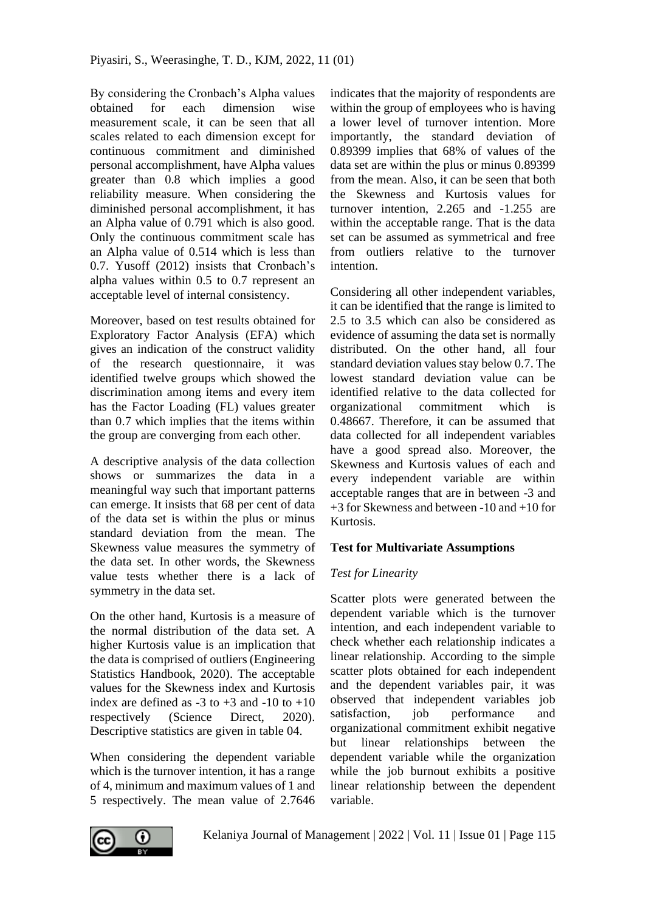By considering the Cronbach's Alpha values obtained for each dimension wise measurement scale, it can be seen that all scales related to each dimension except for continuous commitment and diminished personal accomplishment, have Alpha values greater than 0.8 which implies a good reliability measure. When considering the diminished personal accomplishment, it has an Alpha value of 0.791 which is also good. Only the continuous commitment scale has an Alpha value of 0.514 which is less than 0.7. Yusoff (2012) insists that Cronbach's alpha values within 0.5 to 0.7 represent an acceptable level of internal consistency.

Moreover, based on test results obtained for Exploratory Factor Analysis (EFA) which gives an indication of the construct validity of the research questionnaire, it was identified twelve groups which showed the discrimination among items and every item has the Factor Loading (FL) values greater than 0.7 which implies that the items within the group are converging from each other.

A descriptive analysis of the data collection shows or summarizes the data in a meaningful way such that important patterns can emerge. It insists that 68 per cent of data of the data set is within the plus or minus standard deviation from the mean. The Skewness value measures the symmetry of the data set. In other words, the Skewness value tests whether there is a lack of symmetry in the data set.

On the other hand, Kurtosis is a measure of the normal distribution of the data set. A higher Kurtosis value is an implication that the data is comprised of outliers (Engineering Statistics Handbook, 2020). The acceptable values for the Skewness index and Kurtosis index are defined as  $-3$  to  $+3$  and  $-10$  to  $+10$ respectively (Science Direct, 2020). Descriptive statistics are given in table 04.

When considering the dependent variable which is the turnover intention, it has a range of 4, minimum and maximum values of 1 and 5 respectively. The mean value of 2.7646

indicates that the majority of respondents are within the group of employees who is having a lower level of turnover intention. More importantly, the standard deviation of 0.89399 implies that 68% of values of the data set are within the plus or minus 0.89399 from the mean. Also, it can be seen that both the Skewness and Kurtosis values for turnover intention, 2.265 and -1.255 are within the acceptable range. That is the data set can be assumed as symmetrical and free from outliers relative to the turnover intention.

Considering all other independent variables, it can be identified that the range is limited to 2.5 to 3.5 which can also be considered as evidence of assuming the data set is normally distributed. On the other hand, all four standard deviation values stay below 0.7. The lowest standard deviation value can be identified relative to the data collected for organizational commitment which is 0.48667. Therefore, it can be assumed that data collected for all independent variables have a good spread also. Moreover, the Skewness and Kurtosis values of each and every independent variable are within acceptable ranges that are in between -3 and +3 for Skewness and between -10 and +10 for Kurtosis.

## **Test for Multivariate Assumptions**

## *Test for Linearity*

Scatter plots were generated between the dependent variable which is the turnover intention, and each independent variable to check whether each relationship indicates a linear relationship. According to the simple scatter plots obtained for each independent and the dependent variables pair, it was observed that independent variables job satisfaction, job performance and organizational commitment exhibit negative but linear relationships between the dependent variable while the organization while the job burnout exhibits a positive linear relationship between the dependent variable.

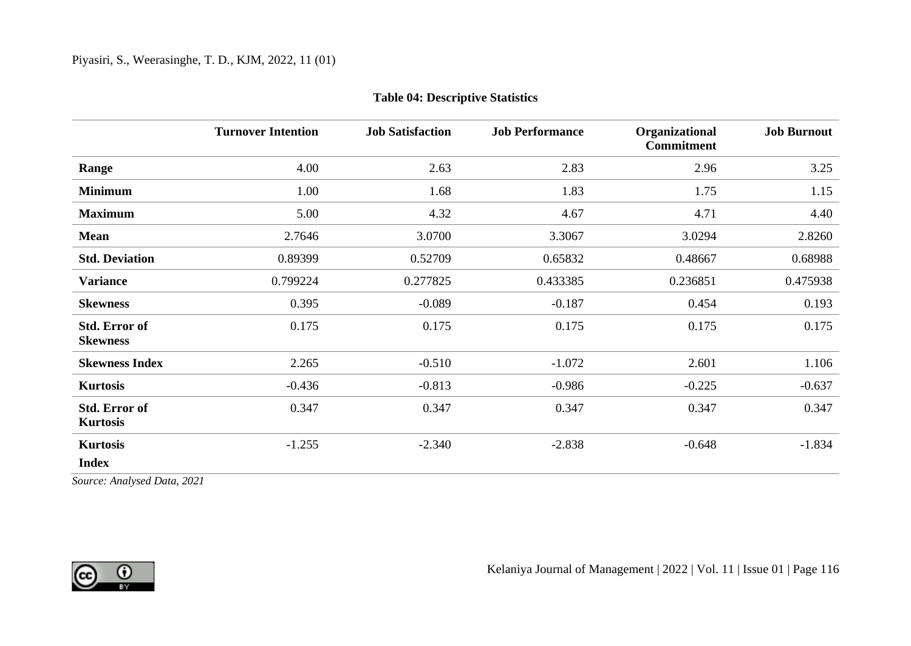|                                         | <b>Turnover Intention</b> | <b>Job Satisfaction</b> | <b>Job Performance</b> | Organizational<br><b>Commitment</b> | <b>Job Burnout</b> |
|-----------------------------------------|---------------------------|-------------------------|------------------------|-------------------------------------|--------------------|
| Range                                   | 4.00                      | 2.63                    | 2.83                   | 2.96                                | 3.25               |
| <b>Minimum</b>                          | 1.00                      | 1.68                    | 1.83                   | 1.75                                | 1.15               |
| <b>Maximum</b>                          | 5.00                      | 4.32                    | 4.67                   | 4.71                                | 4.40               |
| Mean                                    | 2.7646                    | 3.0700                  | 3.3067                 | 3.0294                              | 2.8260             |
| <b>Std. Deviation</b>                   | 0.89399                   | 0.52709                 | 0.65832                | 0.48667                             | 0.68988            |
| <b>Variance</b>                         | 0.799224                  | 0.277825                | 0.433385               | 0.236851                            | 0.475938           |
| <b>Skewness</b>                         | 0.395                     | $-0.089$                | $-0.187$               | 0.454                               | 0.193              |
| Std. Error of<br><b>Skewness</b>        | 0.175                     | 0.175                   | 0.175                  | 0.175                               | 0.175              |
| <b>Skewness Index</b>                   | 2.265                     | $-0.510$                | $-1.072$               | 2.601                               | 1.106              |
| <b>Kurtosis</b>                         | $-0.436$                  | $-0.813$                | $-0.986$               | $-0.225$                            | $-0.637$           |
| <b>Std. Error of</b><br><b>Kurtosis</b> | 0.347                     | 0.347                   | 0.347                  | 0.347                               | 0.347              |
| <b>Kurtosis</b><br><b>Index</b>         | $-1.255$                  | $-2.340$                | $-2.838$               | $-0.648$                            | $-1.834$           |

## **Table 04: Descriptive Statistics**

*Source: Analysed Data, 2021*

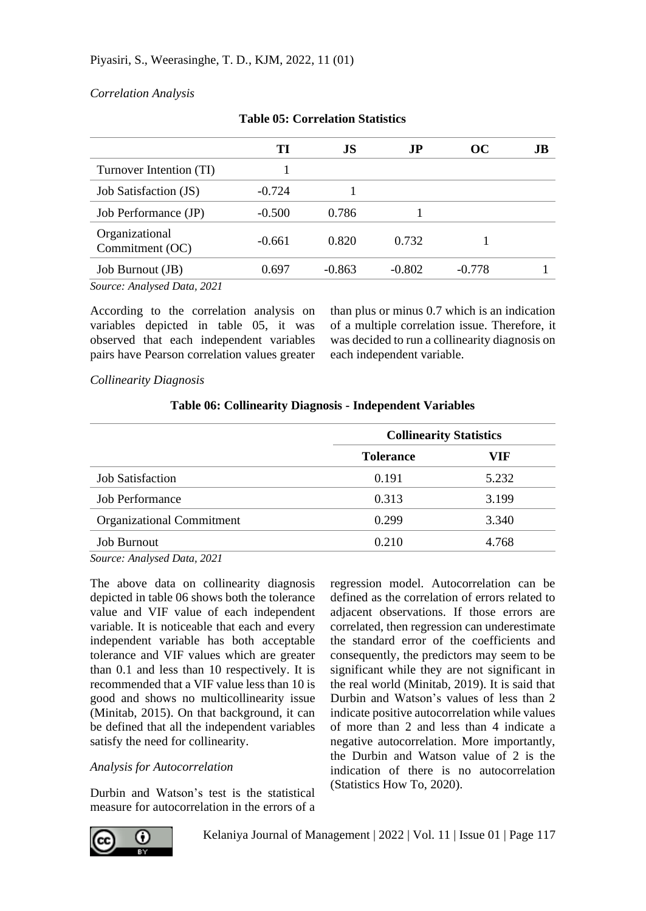## *Correlation Analysis*

|                                   | TI       | JS       | J <sub>P</sub> | oc       | JВ |
|-----------------------------------|----------|----------|----------------|----------|----|
| Turnover Intention (TI)           |          |          |                |          |    |
| Job Satisfaction (JS)             | $-0.724$ |          |                |          |    |
| Job Performance (JP)              | $-0.500$ | 0.786    |                |          |    |
| Organizational<br>Commitment (OC) | $-0.661$ | 0.820    | 0.732          |          |    |
| Job Burnout (JB)                  | 0.697    | $-0.863$ | $-0.802$       | $-0.778$ |    |
| Source: Analysed Data, 2021       |          |          |                |          |    |

*Source: Analysed Data, 2021*

According to the correlation analysis on variables depicted in table 05, it was observed that each independent variables pairs have Pearson correlation values greater

than plus or minus 0.7 which is an indication of a multiple correlation issue. Therefore, it was decided to run a collinearity diagnosis on each independent variable.

### *Collinearity Diagnosis*

|                           | <b>Collinearity Statistics</b> |       |  |
|---------------------------|--------------------------------|-------|--|
|                           | <b>Tolerance</b>               | VIF   |  |
| <b>Job Satisfaction</b>   | 0.191                          | 5.232 |  |
| <b>Job Performance</b>    | 0.313                          | 3.199 |  |
| Organizational Commitment | 0.299                          | 3.340 |  |
| <b>Job Burnout</b>        | 0.210                          | 4.768 |  |

## **Table 06: Collinearity Diagnosis - Independent Variables**

*Source: Analysed Data, 2021*

The above data on collinearity diagnosis depicted in table 06 shows both the tolerance value and VIF value of each independent variable. It is noticeable that each and every independent variable has both acceptable tolerance and VIF values which are greater than 0.1 and less than 10 respectively. It is recommended that a VIF value less than 10 is good and shows no multicollinearity issue (Minitab, 2015). On that background, it can be defined that all the independent variables satisfy the need for collinearity.

## *Analysis for Autocorrelation*

Durbin and Watson's test is the statistical measure for autocorrelation in the errors of a regression model. Autocorrelation can be defined as the correlation of errors related to adjacent observations. If those errors are correlated, then regression can underestimate the standard error of the coefficients and consequently, the predictors may seem to be significant while they are not significant in the real world (Minitab, 2019). It is said that Durbin and Watson's values of less than 2 indicate positive autocorrelation while values of more than 2 and less than 4 indicate a negative autocorrelation. More importantly, the Durbin and Watson value of 2 is the indication of there is no autocorrelation (Statistics How To, 2020).

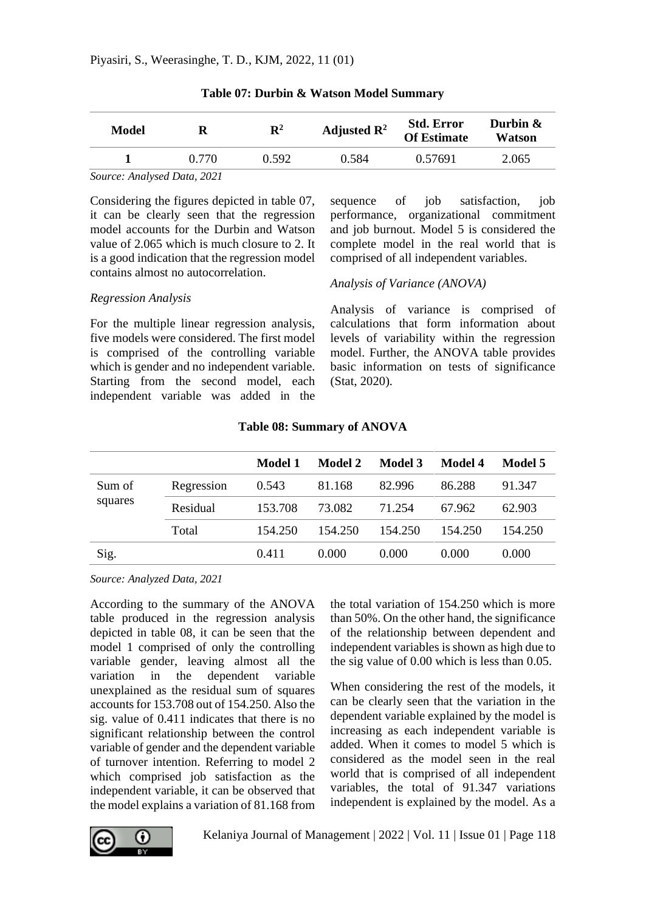| Model |       | $\mathbf{R}^2$ | Adjusted $\mathbb{R}^2$ | <b>Std. Error</b><br><b>Of Estimate</b> | Durbin $\&$<br>Watson |
|-------|-------|----------------|-------------------------|-----------------------------------------|-----------------------|
|       | 0.770 | 0.592          | 0.584                   | 0.57691                                 | 2.065                 |

**Table 07: Durbin & Watson Model Summary**

*Source: Analysed Data, 2021*

*Regression Analysis*

Considering the figures depicted in table 07, it can be clearly seen that the regression model accounts for the Durbin and Watson value of 2.065 which is much closure to 2. It is a good indication that the regression model contains almost no autocorrelation.

sequence of job satisfaction, job performance, organizational commitment and job burnout. Model 5 is considered the complete model in the real world that is comprised of all independent variables.

## *Analysis of Variance (ANOVA)*

For the multiple linear regression analysis, five models were considered. The first model is comprised of the controlling variable which is gender and no independent variable. Starting from the second model, each independent variable was added in the

Analysis of variance is comprised of calculations that form information about levels of variability within the regression model. Further, the ANOVA table provides basic information on tests of significance (Stat, 2020).

|         |            | Model 1 | Model 2 | Model 3 | Model 4 | Model 5 |
|---------|------------|---------|---------|---------|---------|---------|
| Sum of  | Regression | 0.543   | 81.168  | 82.996  | 86.288  | 91.347  |
| squares | Residual   | 153.708 | 73.082  | 71.254  | 67.962  | 62.903  |
|         | Total      | 154.250 | 154.250 | 154.250 | 154.250 | 154.250 |
| Sig.    |            | 0.411   | 0.000   | 0.000   | 0.000   | 0.000   |

## **Table 08: Summary of ANOVA**

*Source: Analyzed Data, 2021*

According to the summary of the ANOVA table produced in the regression analysis depicted in table 08, it can be seen that the model 1 comprised of only the controlling variable gender, leaving almost all the variation in the dependent variable unexplained as the residual sum of squares accounts for 153.708 out of 154.250. Also the sig. value of 0.411 indicates that there is no significant relationship between the control variable of gender and the dependent variable of turnover intention. Referring to model 2 which comprised job satisfaction as the independent variable, it can be observed that the model explains a variation of 81.168 from

the total variation of 154.250 which is more than 50%. On the other hand, the significance of the relationship between dependent and independent variables is shown as high due to the sig value of 0.00 which is less than 0.05.

When considering the rest of the models, it can be clearly seen that the variation in the dependent variable explained by the model is increasing as each independent variable is added. When it comes to model 5 which is considered as the model seen in the real world that is comprised of all independent variables, the total of 91.347 variations independent is explained by the model. As a

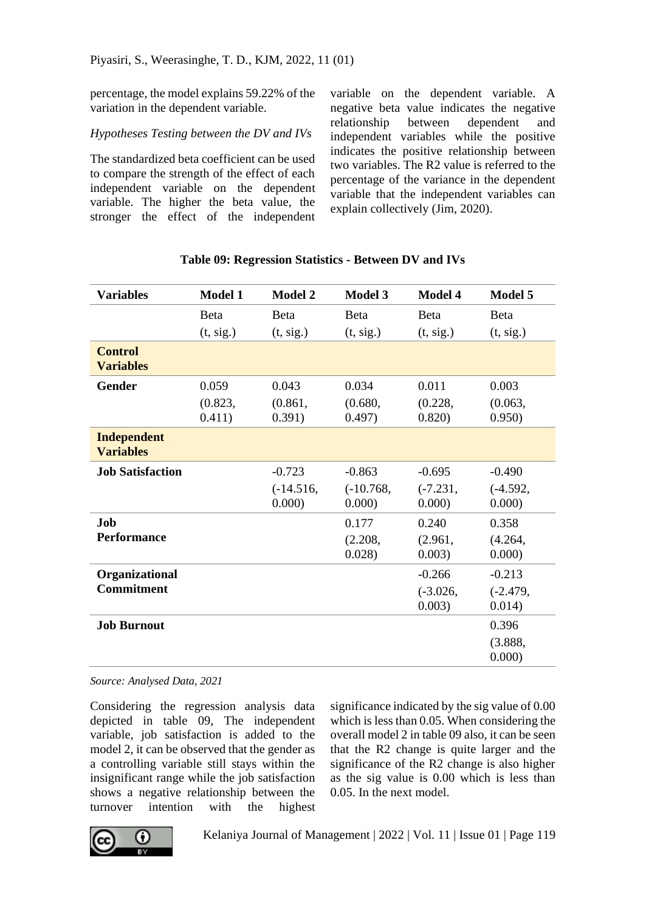percentage, the model explains 59.22% of the variation in the dependent variable.

## *Hypotheses Testing between the DV and IVs*

The standardized beta coefficient can be used to compare the strength of the effect of each independent variable on the dependent variable. The higher the beta value, the stronger the effect of the independent variable on the dependent variable. A negative beta value indicates the negative relationship between dependent and independent variables while the positive indicates the positive relationship between two variables. The R2 value is referred to the percentage of the variance in the dependent variable that the independent variables can explain collectively (Jim, 2020).

| <b>Variables</b>                       | Model 1                    | Model 2                    | Model 3                              | Model 4                              | Model 5                              |
|----------------------------------------|----------------------------|----------------------------|--------------------------------------|--------------------------------------|--------------------------------------|
|                                        | <b>B</b> eta               | <b>B</b> eta               | <b>Beta</b>                          | <b>B</b> eta                         | <b>B</b> eta                         |
|                                        | (t, sig.)                  | (t, sig.)                  | (t, sig.)                            | (t, sig.)                            | (t, sig.)                            |
| <b>Control</b><br><b>Variables</b>     |                            |                            |                                      |                                      |                                      |
| Gender                                 | 0.059<br>(0.823,<br>0.411) | 0.043<br>(0.861,<br>0.391) | 0.034<br>(0.680,<br>0.497)           | 0.011<br>(0.228,<br>0.820            | 0.003<br>(0.063,<br>0.950)           |
| <b>Independent</b><br><b>Variables</b> |                            |                            |                                      |                                      |                                      |
| <b>Job Satisfaction</b>                |                            | $-0.723$<br>$(-14.516,$    | $-0.863$<br>$(-10.768,$              | $-0.695$<br>$(-7.231,$               | $-0.490$<br>$(-4.592,$               |
| Job.<br><b>Performance</b>             |                            | 0.000)                     | 0.000)<br>0.177<br>(2.208,<br>0.028) | 0.000)<br>0.240<br>(2.961,<br>0.003) | 0.000)<br>0.358<br>(4.264,<br>0.000) |
| Organizational<br><b>Commitment</b>    |                            |                            |                                      | $-0.266$<br>$(-3.026,$<br>0.003)     | $-0.213$<br>$(-2.479,$<br>0.014)     |
| <b>Job Burnout</b>                     |                            |                            |                                      |                                      | 0.396<br>(3.888,<br>0.000            |

## **Table 09: Regression Statistics - Between DV and IVs**

*Source: Analysed Data, 2021*

Considering the regression analysis data depicted in table 09, The independent variable, job satisfaction is added to the model 2, it can be observed that the gender as a controlling variable still stays within the insignificant range while the job satisfaction shows a negative relationship between the turnover intention with the highest

significance indicated by the sig value of 0.00 which is less than 0.05. When considering the overall model 2 in table 09 also, it can be seen that the R2 change is quite larger and the significance of the R2 change is also higher as the sig value is 0.00 which is less than 0.05. In the next model.

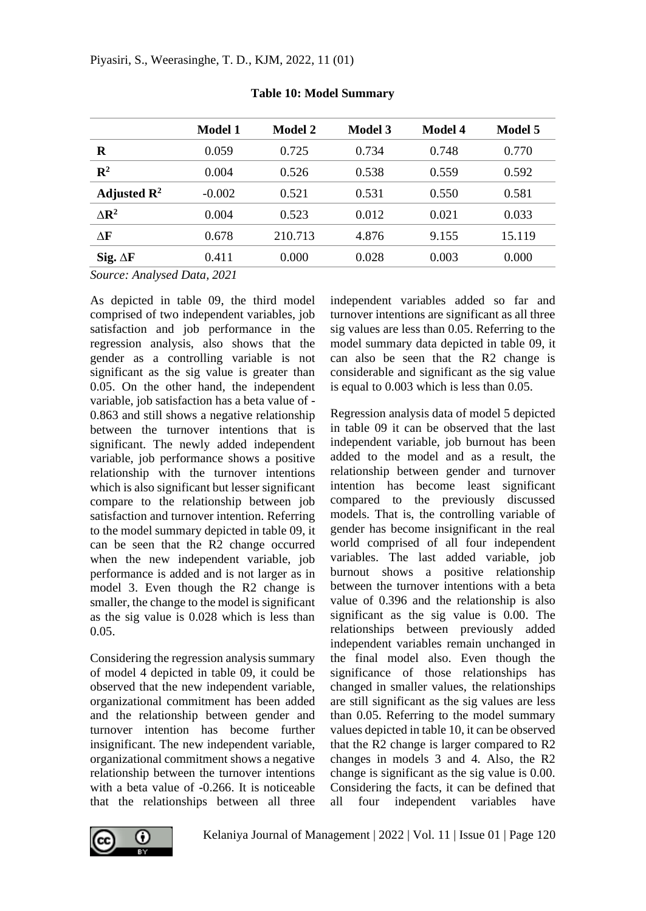|                                | <b>Model 1</b> | Model 2 | <b>Model 3</b> | <b>Model 4</b> | Model 5 |
|--------------------------------|----------------|---------|----------------|----------------|---------|
| R                              | 0.059          | 0.725   | 0.734          | 0.748          | 0.770   |
| $\mathbb{R}^2$                 | 0.004          | 0.526   | 0.538          | 0.559          | 0.592   |
| Adjusted $\mathbb{R}^2$        | $-0.002$       | 0.521   | 0.531          | 0.550          | 0.581   |
| $\Delta$ <b>R</b> <sup>2</sup> | 0.004          | 0.523   | 0.012          | 0.021          | 0.033   |
| ΛF                             | 0.678          | 210.713 | 4.876          | 9.155          | 15.119  |
| Sig. $\Delta F$                | 0.411          | 0.000   | 0.028          | 0.003          | 0.000   |
|                                |                |         |                |                |         |

## **Table 10: Model Summary**

*Source: Analysed Data, 2021*

As depicted in table 09, the third model comprised of two independent variables, job satisfaction and job performance in the regression analysis, also shows that the gender as a controlling variable is not significant as the sig value is greater than 0.05. On the other hand, the independent variable, job satisfaction has a beta value of - 0.863 and still shows a negative relationship between the turnover intentions that is significant. The newly added independent variable, job performance shows a positive relationship with the turnover intentions which is also significant but lesser significant compare to the relationship between job satisfaction and turnover intention. Referring to the model summary depicted in table 09, it can be seen that the R2 change occurred when the new independent variable, job performance is added and is not larger as in model 3. Even though the R2 change is smaller, the change to the model is significant as the sig value is 0.028 which is less than 0.05.

Considering the regression analysis summary of model 4 depicted in table 09, it could be observed that the new independent variable, organizational commitment has been added and the relationship between gender and turnover intention has become further insignificant. The new independent variable, organizational commitment shows a negative relationship between the turnover intentions with a beta value of -0.266. It is noticeable that the relationships between all three

independent variables added so far and turnover intentions are significant as all three sig values are less than 0.05. Referring to the model summary data depicted in table 09, it can also be seen that the R2 change is considerable and significant as the sig value is equal to 0.003 which is less than 0.05.

Regression analysis data of model 5 depicted in table 09 it can be observed that the last independent variable, job burnout has been added to the model and as a result, the relationship between gender and turnover intention has become least significant compared to the previously discussed models. That is, the controlling variable of gender has become insignificant in the real world comprised of all four independent variables. The last added variable, job burnout shows a positive relationship between the turnover intentions with a beta value of 0.396 and the relationship is also significant as the sig value is 0.00. The relationships between previously added independent variables remain unchanged in the final model also. Even though the significance of those relationships has changed in smaller values, the relationships are still significant as the sig values are less than 0.05. Referring to the model summary values depicted in table 10, it can be observed that the R2 change is larger compared to R2 changes in models 3 and 4. Also, the R2 change is significant as the sig value is 0.00. Considering the facts, it can be defined that all four independent variables have

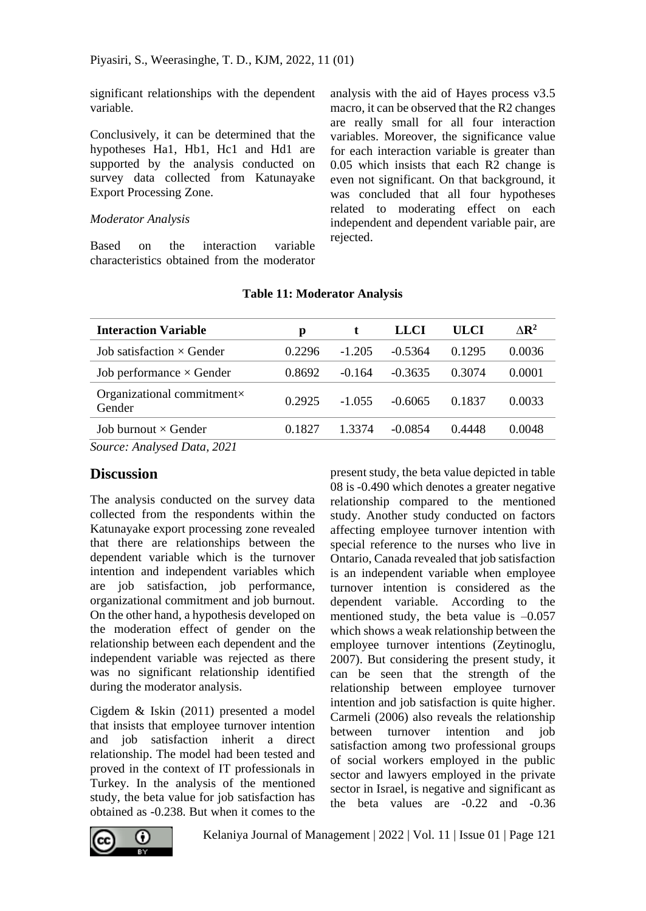significant relationships with the dependent variable.

Conclusively, it can be determined that the hypotheses Ha1, Hb1, Hc1 and Hd1 are supported by the analysis conducted on survey data collected from Katunayake Export Processing Zone.

#### *Moderator Analysis*

Based on the interaction variable characteristics obtained from the moderator analysis with the aid of Hayes process v3.5 macro, it can be observed that the R2 changes are really small for all four interaction variables. Moreover, the significance value for each interaction variable is greater than 0.05 which insists that each R2 change is even not significant. On that background, it was concluded that all four hypotheses related to moderating effect on each independent and dependent variable pair, are rejected.

| <b>Interaction Variable</b>                  | р      |          | <b>LLCI</b> | <b>ULCI</b> | $\triangle$ <b>R</b> <sup>2</sup> |
|----------------------------------------------|--------|----------|-------------|-------------|-----------------------------------|
| Job satisfaction $\times$ Gender             | 0.2296 | $-1.205$ | $-0.5364$   | 0.1295      | 0.0036                            |
| Job performance $\times$ Gender              | 0.8692 | $-0.164$ | $-0.3635$   | 0.3074      | 0.0001                            |
| Organizational commitment $\times$<br>Gender | 0.2925 | $-1.055$ | $-0.6065$   | 0.1837      | 0.0033                            |
| Job burnout $\times$ Gender                  | 0.1827 | 1.3374   | $-0.0854$   | 0.4448      | 0.0048                            |
| Source: Analysed Data, 2021                  |        |          |             |             |                                   |

### **Table 11: Moderator Analysis**

*Source: Analysed Data, 2021*

## **Discussion**

The analysis conducted on the survey data collected from the respondents within the Katunayake export processing zone revealed that there are relationships between the dependent variable which is the turnover intention and independent variables which are job satisfaction, job performance, organizational commitment and job burnout. On the other hand, a hypothesis developed on the moderation effect of gender on the relationship between each dependent and the independent variable was rejected as there was no significant relationship identified during the moderator analysis.

Cigdem & Iskin (2011) presented a model that insists that employee turnover intention and job satisfaction inherit a direct relationship. The model had been tested and proved in the context of IT professionals in Turkey. In the analysis of the mentioned study, the beta value for job satisfaction has obtained as -0.238. But when it comes to the

present study, the beta value depicted in table 08 is -0.490 which denotes a greater negative relationship compared to the mentioned study. Another study conducted on factors affecting employee turnover intention with special reference to the nurses who live in Ontario, Canada revealed that job satisfaction is an independent variable when employee turnover intention is considered as the dependent variable. According to the mentioned study, the beta value is  $-0.057$ which shows a weak relationship between the employee turnover intentions (Zeytinoglu, 2007). But considering the present study, it can be seen that the strength of the relationship between employee turnover intention and job satisfaction is quite higher. Carmeli (2006) also reveals the relationship between turnover intention and job satisfaction among two professional groups of social workers employed in the public sector and lawyers employed in the private sector in Israel, is negative and significant as the beta values are -0.22 and -0.36

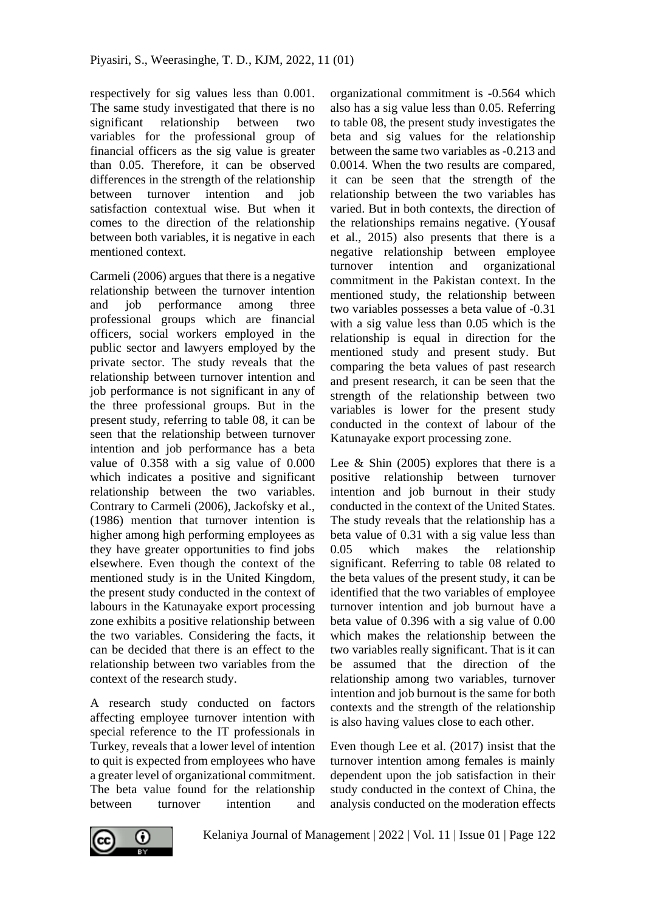respectively for sig values less than 0.001. The same study investigated that there is no significant relationship between two variables for the professional group of financial officers as the sig value is greater than 0.05. Therefore, it can be observed differences in the strength of the relationship between turnover intention and job satisfaction contextual wise. But when it comes to the direction of the relationship between both variables, it is negative in each mentioned context.

Carmeli (2006) argues that there is a negative relationship between the turnover intention and job performance among three professional groups which are financial officers, social workers employed in the public sector and lawyers employed by the private sector. The study reveals that the relationship between turnover intention and job performance is not significant in any of the three professional groups. But in the present study, referring to table 08, it can be seen that the relationship between turnover intention and job performance has a beta value of 0.358 with a sig value of 0.000 which indicates a positive and significant relationship between the two variables. Contrary to Carmeli (2006), Jackofsky et al., (1986) mention that turnover intention is higher among high performing employees as they have greater opportunities to find jobs elsewhere. Even though the context of the mentioned study is in the United Kingdom, the present study conducted in the context of labours in the Katunayake export processing zone exhibits a positive relationship between the two variables. Considering the facts, it can be decided that there is an effect to the relationship between two variables from the context of the research study.

A research study conducted on factors affecting employee turnover intention with special reference to the IT professionals in Turkey, reveals that a lower level of intention to quit is expected from employees who have a greater level of organizational commitment. The beta value found for the relationship between turnover intention and

organizational commitment is -0.564 which also has a sig value less than 0.05. Referring to table 08, the present study investigates the beta and sig values for the relationship between the same two variables as -0.213 and 0.0014. When the two results are compared, it can be seen that the strength of the relationship between the two variables has varied. But in both contexts, the direction of the relationships remains negative. (Yousaf et al., 2015) also presents that there is a negative relationship between employee turnover intention and organizational commitment in the Pakistan context. In the mentioned study, the relationship between two variables possesses a beta value of -0.31 with a sig value less than 0.05 which is the relationship is equal in direction for the mentioned study and present study. But comparing the beta values of past research and present research, it can be seen that the strength of the relationship between two variables is lower for the present study conducted in the context of labour of the Katunayake export processing zone.

Lee & Shin (2005) explores that there is a positive relationship between turnover intention and job burnout in their study conducted in the context of the United States. The study reveals that the relationship has a beta value of 0.31 with a sig value less than 0.05 which makes the relationship significant. Referring to table 08 related to the beta values of the present study, it can be identified that the two variables of employee turnover intention and job burnout have a beta value of 0.396 with a sig value of 0.00 which makes the relationship between the two variables really significant. That is it can be assumed that the direction of the relationship among two variables, turnover intention and job burnout is the same for both contexts and the strength of the relationship is also having values close to each other.

Even though Lee et al. (2017) insist that the turnover intention among females is mainly dependent upon the job satisfaction in their study conducted in the context of China, the analysis conducted on the moderation effects

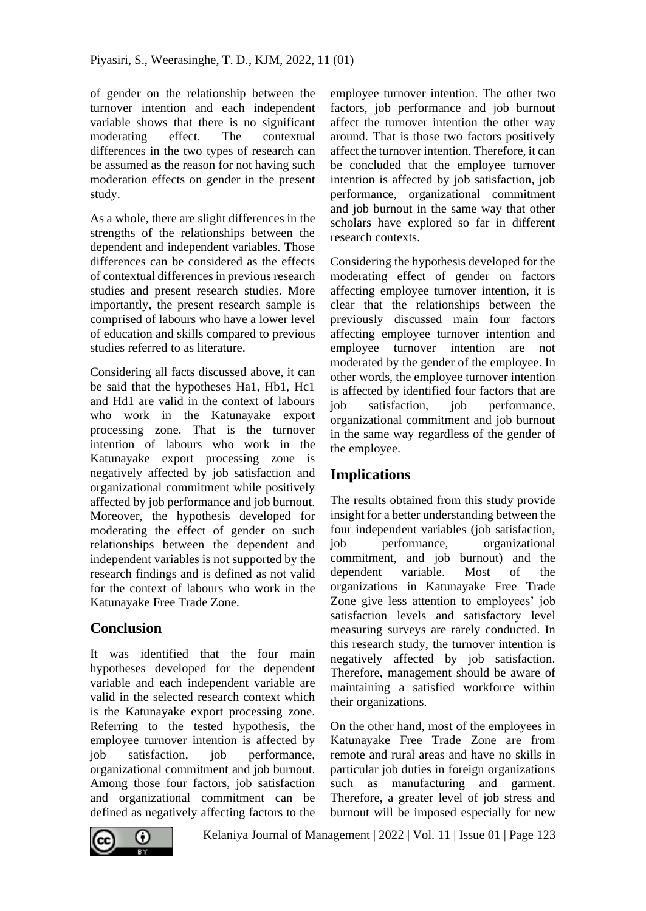of gender on the relationship between the turnover intention and each independent variable shows that there is no significant moderating effect. The contextual differences in the two types of research can be assumed as the reason for not having such moderation effects on gender in the present study.

As a whole, there are slight differences in the strengths of the relationships between the dependent and independent variables. Those differences can be considered as the effects of contextual differences in previous research studies and present research studies. More importantly, the present research sample is comprised of labours who have a lower level of education and skills compared to previous studies referred to as literature.

Considering all facts discussed above, it can be said that the hypotheses Ha1, Hb1, Hc1 and Hd1 are valid in the context of labours who work in the Katunayake export processing zone. That is the turnover intention of labours who work in the Katunayake export processing zone is negatively affected by job satisfaction and organizational commitment while positively affected by job performance and job burnout. Moreover, the hypothesis developed for moderating the effect of gender on such relationships between the dependent and independent variables is not supported by the research findings and is defined as not valid for the context of labours who work in the Katunayake Free Trade Zone.

## **Conclusion**

It was identified that the four main hypotheses developed for the dependent variable and each independent variable are valid in the selected research context which is the Katunayake export processing zone. Referring to the tested hypothesis, the employee turnover intention is affected by job satisfaction, job performance, organizational commitment and job burnout. Among those four factors, job satisfaction and organizational commitment can be defined as negatively affecting factors to the

employee turnover intention. The other two factors, job performance and job burnout affect the turnover intention the other way around. That is those two factors positively affect the turnover intention. Therefore, it can be concluded that the employee turnover intention is affected by job satisfaction, job performance, organizational commitment and job burnout in the same way that other scholars have explored so far in different research contexts.

Considering the hypothesis developed for the moderating effect of gender on factors affecting employee turnover intention, it is clear that the relationships between the previously discussed main four factors affecting employee turnover intention and employee turnover intention are not moderated by the gender of the employee. In other words, the employee turnover intention is affected by identified four factors that are job satisfaction, job performance, organizational commitment and job burnout in the same way regardless of the gender of the employee.

## **Implications**

The results obtained from this study provide insight for a better understanding between the four independent variables (job satisfaction, job performance, organizational commitment, and job burnout) and the dependent variable. Most of the organizations in Katunayake Free Trade Zone give less attention to employees' job satisfaction levels and satisfactory level measuring surveys are rarely conducted. In this research study, the turnover intention is negatively affected by job satisfaction. Therefore, management should be aware of maintaining a satisfied workforce within their organizations.

On the other hand, most of the employees in Katunayake Free Trade Zone are from remote and rural areas and have no skills in particular job duties in foreign organizations such as manufacturing and garment. Therefore, a greater level of job stress and burnout will be imposed especially for new



Kelaniya Journal of Management | 2022 | Vol. 11 | Issue 01 | Page 123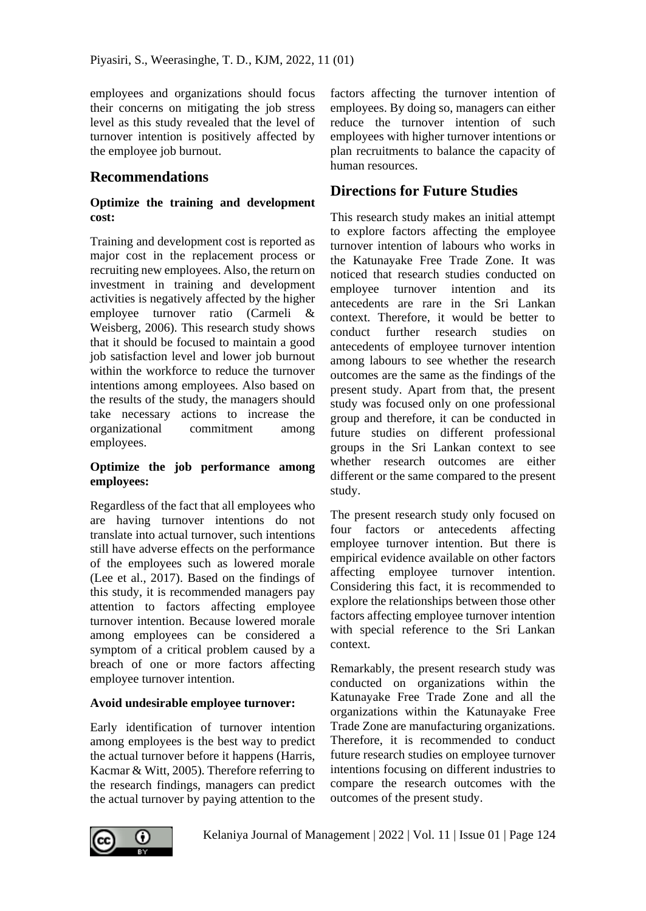employees and organizations should focus their concerns on mitigating the job stress level as this study revealed that the level of turnover intention is positively affected by the employee job burnout.

## **Recommendations**

## **Optimize the training and development cost:**

Training and development cost is reported as major cost in the replacement process or recruiting new employees. Also, the return on investment in training and development activities is negatively affected by the higher employee turnover ratio (Carmeli & Weisberg, 2006). This research study shows that it should be focused to maintain a good job satisfaction level and lower job burnout within the workforce to reduce the turnover intentions among employees. Also based on the results of the study, the managers should take necessary actions to increase the organizational commitment among employees.

### **Optimize the job performance among employees:**

Regardless of the fact that all employees who are having turnover intentions do not translate into actual turnover, such intentions still have adverse effects on the performance of the employees such as lowered morale (Lee et al., 2017). Based on the findings of this study, it is recommended managers pay attention to factors affecting employee turnover intention. Because lowered morale among employees can be considered a symptom of a critical problem caused by a breach of one or more factors affecting employee turnover intention.

## **Avoid undesirable employee turnover:**

Early identification of turnover intention among employees is the best way to predict the actual turnover before it happens (Harris, Kacmar & Witt, 2005). Therefore referring to the research findings, managers can predict the actual turnover by paying attention to the

factors affecting the turnover intention of employees. By doing so, managers can either reduce the turnover intention of such employees with higher turnover intentions or plan recruitments to balance the capacity of human resources.

## **Directions for Future Studies**

This research study makes an initial attempt to explore factors affecting the employee turnover intention of labours who works in the Katunayake Free Trade Zone. It was noticed that research studies conducted on employee turnover intention and its antecedents are rare in the Sri Lankan context. Therefore, it would be better to conduct further research studies on antecedents of employee turnover intention among labours to see whether the research outcomes are the same as the findings of the present study. Apart from that, the present study was focused only on one professional group and therefore, it can be conducted in future studies on different professional groups in the Sri Lankan context to see whether research outcomes are either different or the same compared to the present study.

The present research study only focused on four factors or antecedents affecting employee turnover intention. But there is empirical evidence available on other factors affecting employee turnover intention. Considering this fact, it is recommended to explore the relationships between those other factors affecting employee turnover intention with special reference to the Sri Lankan context.

Remarkably, the present research study was conducted on organizations within the Katunayake Free Trade Zone and all the organizations within the Katunayake Free Trade Zone are manufacturing organizations. Therefore, it is recommended to conduct future research studies on employee turnover intentions focusing on different industries to compare the research outcomes with the outcomes of the present study.

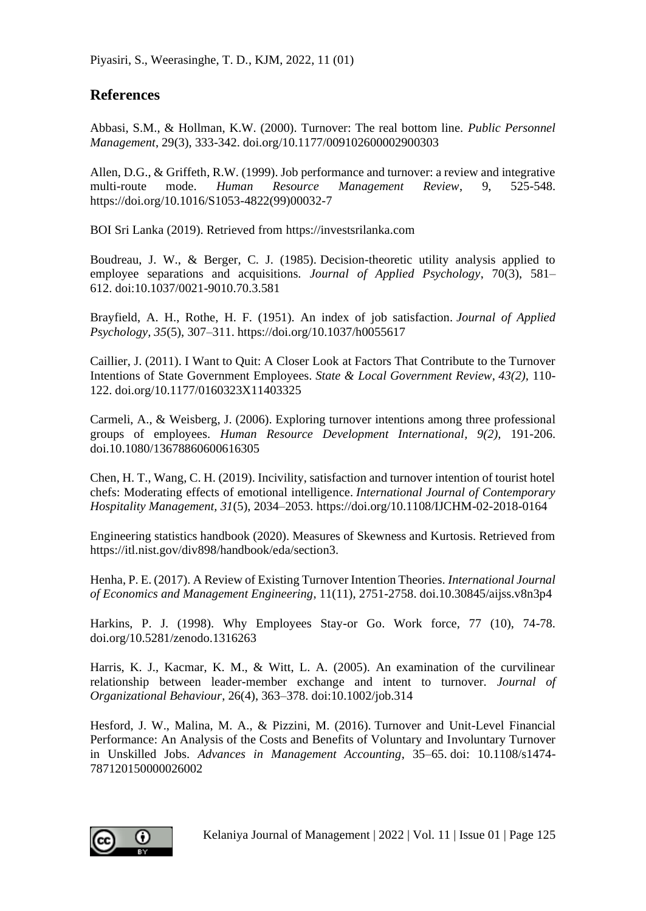## **References**

Abbasi, S.M., & Hollman, K.W. (2000). Turnover: The real bottom line. *Public Personnel Management*, 29(3), 333-342. doi.org/10.1177/009102600002900303

Allen, D.G., & Griffeth, R.W. (1999). Job performance and turnover: a review and integrative multi-route mode. *Human Resource Management Review*, 9, 525-548. https://doi.org/10.1016/S1053-4822(99)00032-7

BOI Sri Lanka (2019). Retrieved from [https://investsrilanka.com](https://investsrilanka.com/)

Boudreau, J. W., & Berger, C. J. (1985). Decision-theoretic utility analysis applied to employee separations and acquisitions. *Journal of Applied Psychology*, 70(3), 581– 612. doi:10.1037/0021-9010.70.3.581

Brayfield, A. H., Rothe, H. F. (1951). An index of job satisfaction. *Journal of Applied Psychology, 35*(5), 307–311. [https://doi.org/10.1037/h0055617](https://psycnet.apa.org/doi/10.1037/h0055617)

Caillier, J. (2011). I Want to Quit: A Closer Look at Factors That Contribute to the Turnover Intentions of State Government Employees. *State & Local Government Review*, *43(2),* 110- 122. doi.org/10.1177/0160323X11403325

Carmeli, A., & Weisberg, J. (2006). Exploring turnover intentions among three professional groups of employees. *Human Resource Development International, 9(2),* 191-206. doi.10.1080/13678860600616305

Chen, H. T., Wang, C. H. (2019). Incivility, satisfaction and turnover intention of tourist hotel chefs: Moderating effects of emotional intelligence. *International Journal of Contemporary Hospitality Management, 31*(5), 2034–2053. https://doi.org/10.1108/IJCHM-02-2018-0164

Engineering statistics handbook (2020). Measures of Skewness and Kurtosis. Retrieved from https://itl.nist.gov/div898/handbook/eda/section3.

Henha, P. E. (2017). A Review of Existing Turnover Intention Theories. *International Journal of Economics and Management Engineering*, 11(11), 2751-2758. doi.10.30845/aijss.v8n3p4

Harkins, P. J. (1998). Why Employees Stay-or Go. Work force, 77 (10), 74-78. [doi.org/10.5281/zenodo.1316263](https://doi.org/10.5281/zenodo.1316263)

Harris, K. J., Kacmar, K. M., & Witt, L. A. (2005). An examination of the curvilinear relationship between leader-member exchange and intent to turnover. *Journal of Organizational Behaviour*, 26(4), 363–378. doi:10.1002/job.314

Hesford, J. W., Malina, M. A., & Pizzini, M. (2016). Turnover and Unit-Level Financial Performance: An Analysis of the Costs and Benefits of Voluntary and Involuntary Turnover in Unskilled Jobs. *Advances in Management Accounting*, 35–65. doi: 10.1108/s1474- 787120150000026002

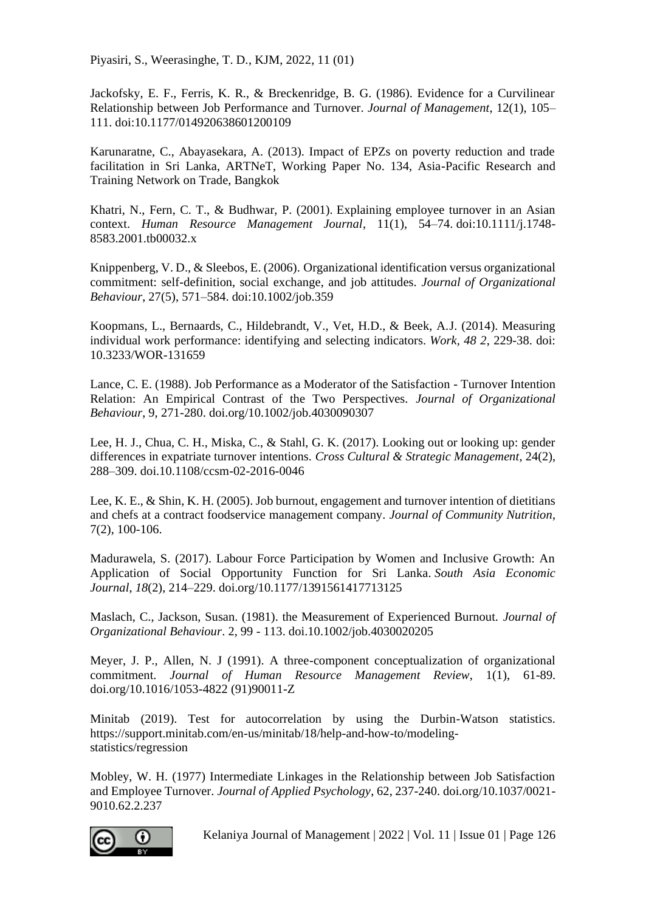Piyasiri, S., Weerasinghe, T. D., KJM, 2022, 11 (01)

Jackofsky, E. F., Ferris, K. R., & Breckenridge, B. G. (1986). Evidence for a Curvilinear Relationship between Job Performance and Turnover. *Journal of Management*, 12(1), 105– 111. doi:10.1177/014920638601200109

Karunaratne, C., Abayasekara, A. (2013). Impact of EPZs on poverty reduction and trade facilitation in Sri Lanka, ARTNeT, Working Paper No. 134, Asia-Pacific Research and Training Network on Trade, Bangkok

Khatri, N., Fern, C. T., & Budhwar, P. (2001). Explaining employee turnover in an Asian context. *Human Resource Management Journal*, 11(1), 54–74. doi:10.1111/j.1748- 8583.2001.tb00032.x

Knippenberg, V. D., & Sleebos, E. (2006). Organizational identification versus organizational commitment: self-definition, social exchange, and job attitudes. *Journal of Organizational Behaviour*, 27(5), 571–584. doi:10.1002/job.359

Koopmans, L., Bernaards, C., Hildebrandt, V., Vet, H.D., & Beek, A.J. (2014). Measuring individual work performance: identifying and selecting indicators. *Work, 48 2*, 229-38. [doi:](file:///C:/Users/User/Downloads/references.docx)  [10.3233/WOR-131659](file:///C:/Users/User/Downloads/references.docx)

Lance, C. E. (1988). Job Performance as a Moderator of the Satisfaction - Turnover Intention Relation: An Empirical Contrast of the Two Perspectives. *Journal of Organizational Behaviour*, 9, 271-280. doi.org/10.1002/job.4030090307

Lee, H. J., Chua, C. H., Miska, C., & Stahl, G. K. (2017). Looking out or looking up: gender differences in expatriate turnover intentions. *Cross Cultural & Strategic Management*, 24(2), 288–309. doi.10.1108/ccsm-02-2016-0046

Lee, K. E., & Shin, K. H. (2005). Job burnout, engagement and turnover intention of dietitians and chefs at a contract foodservice management company. *Journal of Community Nutrition*, 7(2), 100-106.

Madurawela, S. (2017). Labour Force Participation by Women and Inclusive Growth: An Application of Social Opportunity Function for Sri Lanka. *South Asia Economic Journal*, *18*(2), 214–229. [doi.org/10.1177/1391561417713125](https://doi.org/10.1177/1391561417713125)

Maslach, C., Jackson, Susan. (1981). the Measurement of Experienced Burnout. *Journal of Organizational Behaviour*. 2, 99 - 113[. doi.10.1002/job.4030020205](file:///C:/Users/User/Downloads/references.docx)

Meyer, J. P., Allen, N. J (1991). A three-component conceptualization of organizational commitment. *Journal of Human Resource Management Review*, 1(1), 61-89. doi.org/10.1016/1053-4822 (91)90011-Z

Minitab (2019). Test for autocorrelation by using the Durbin-Watson statistics. https://support.minitab.com/en-us/minitab/18/help-and-how-to/modelingstatistics/regression

Mobley, W. H. (1977) Intermediate Linkages in the Relationship between Job Satisfaction and Employee Turnover. *Journal of Applied Psychology*, 62, 237-240. doi.org/10.1037/0021- 9010.62.2.237



Kelaniya Journal of Management | 2022 | Vol. 11 | Issue 01 | Page 126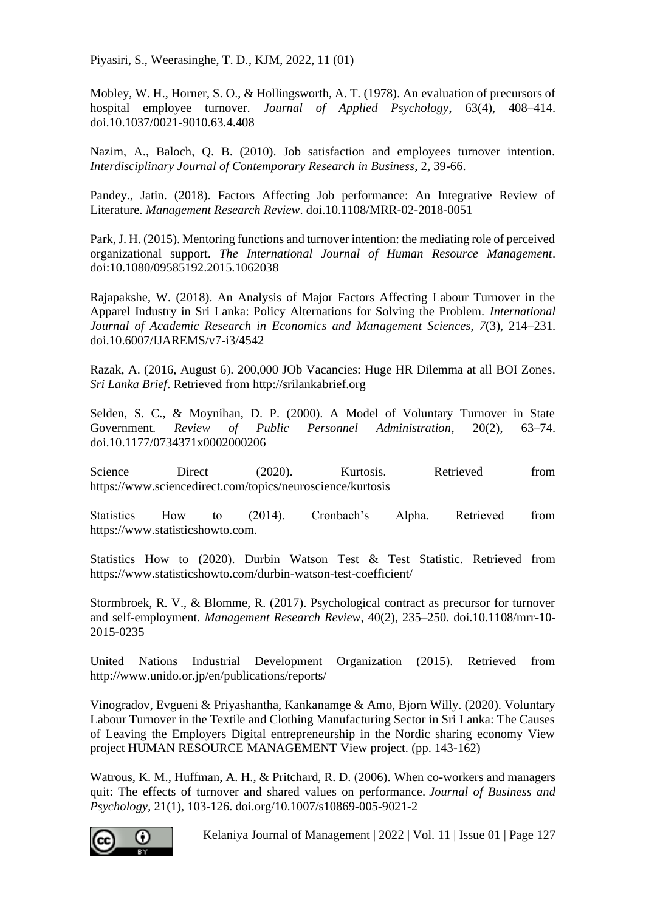Piyasiri, S., Weerasinghe, T. D., KJM, 2022, 11 (01)

Mobley, W. H., Horner, S. O., & Hollingsworth, A. T. (1978). An evaluation of precursors of hospital employee turnover. *Journal of Applied Psychology*, 63(4), 408–414. doi.10.1037/0021-9010.63.4.408

Nazim, A., Baloch, Q. B. (2010). Job satisfaction and employees turnover intention. *Interdisciplinary Journal of Contemporary Research in Business*, 2, 39-66.

Pandey., Jatin. (2018). Factors Affecting Job performance: An Integrative Review of Literature. *Management Research Review*[. doi.10.1108/MRR-02-2018-0051](file:///C:/Users/User/Downloads/references.docx)

Park, J. H. (2015). Mentoring functions and turnover intention: the mediating role of perceived organizational support. *The International Journal of Human Resource Management*. [doi:10.1080/09585192.2015.1062038](file:///C:/Users/User/Downloads/Sample_Research_Paper.zip)

Rajapakshe, W. (2018). An Analysis of Major Factors Affecting Labour Turnover in the Apparel Industry in Sri Lanka: Policy Alternations for Solving the Problem. *International Journal of Academic Research in Economics and Management Sciences*, *7*(3), 214–231. doi.10.6007/IJAREMS/v7-i3/4542

Razak, A. (2016, August 6). 200,000 JOb Vacancies: Huge HR Dilemma at all BOI Zones. *Sri Lanka Brief*. Retrieved from http://srilankabrief.org

Selden, S. C., & Moynihan, D. P. (2000). A Model of Voluntary Turnover in State Government. *Review of Public Personnel Administration*, 20(2), 63–74. doi.10.1177/0734371x0002000206

Science Direct (2020). Kurtosis. Retrieved from <https://www.sciencedirect.com/topics/neuroscience/kurtosis>

Statistics How to (2014). Cronbach's Alpha. Retrieved from https://www.statisticshowto.com.

Statistics How to (2020). Durbin Watson Test & Test Statistic. Retrieved from <https://www.statisticshowto.com/durbin-watson-test-coefficient/>

Stormbroek, R. V., & Blomme, R. (2017). Psychological contract as precursor for turnover and self-employment. *Management Research Review*, 40(2), 235–250. doi.10.1108/mrr-10- 2015-0235

United Nations Industrial Development Organization (2015). Retrieved from http://www.unido.or.jp/en/publications/reports/

Vinogradov, Evgueni & Priyashantha, Kankanamge & Amo, Bjorn Willy. (2020). Voluntary Labour Turnover in the Textile and Clothing Manufacturing Sector in Sri Lanka: The Causes of Leaving the Employers Digital entrepreneurship in the Nordic sharing economy View project HUMAN RESOURCE MANAGEMENT View project. (pp. 143-162)

Watrous, K. M., Huffman, A. H., & Pritchard, R. D. (2006). When co-workers and managers quit: The effects of turnover and shared values on performance. *Journal of Business and Psychology*, 21(1), 103-126. doi.org/10.1007/s10869-005-9021-2



Kelaniya Journal of Management | 2022 | Vol. 11 | Issue 01 | Page 127